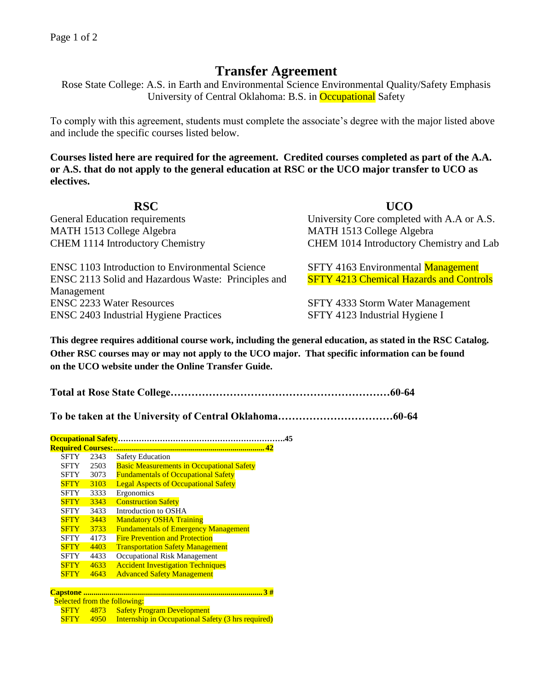## **Transfer Agreement**

Rose State College: A.S. in Earth and Environmental Science Environmental Quality/Safety Emphasis University of Central Oklahoma: B.S. in Occupational Safety

To comply with this agreement, students must complete the associate's degree with the major listed above and include the specific courses listed below.

**Courses listed here are required for the agreement. Credited courses completed as part of the A.A. or A.S. that do not apply to the general education at RSC or the UCO major transfer to UCO as electives.**

| <b>RSC</b>                                             | <b>UCO</b>                                     |
|--------------------------------------------------------|------------------------------------------------|
| <b>General Education requirements</b>                  | University Core completed with A.A or A.S.     |
| MATH 1513 College Algebra                              | MATH 1513 College Algebra                      |
| <b>CHEM 1114 Introductory Chemistry</b>                | CHEM 1014 Introductory Chemistry and Lab       |
| <b>ENSC 1103 Introduction to Environmental Science</b> | SFTY 4163 Environmental Management             |
| ENSC 2113 Solid and Hazardous Waste: Principles and    | <b>SFTY 4213 Chemical Hazards and Controls</b> |
| Management                                             |                                                |
| <b>ENSC 2233 Water Resources</b>                       | SFTY 4333 Storm Water Management               |
| <b>ENSC 2403 Industrial Hygiene Practices</b>          | SFTY 4123 Industrial Hygiene I                 |

**This degree requires additional course work, including the general education, as stated in the RSC Catalog. Other RSC courses may or may not apply to the UCO major. That specific information can be found on the UCO website under the Online Transfer Guide.**

**Total at Rose State College………………………………………………………60-64**

**To be taken at the University of Central Oklahoma……………………………60-64**

| <b>Required Courses:</b> |      |                                                  |  |  |  |
|--------------------------|------|--------------------------------------------------|--|--|--|
| SFTY                     | 2343 | <b>Safety Education</b>                          |  |  |  |
| SFTY                     | 2503 | <b>Basic Measurements in Occupational Safety</b> |  |  |  |
| SFTY                     | 3073 | <b>Fundamentals of Occupational Safety</b>       |  |  |  |
| <b>SFTY</b>              | 3103 | <b>Legal Aspects of Occupational Safety</b>      |  |  |  |
| <b>SFTY</b>              | 3333 | Ergonomics                                       |  |  |  |
| <b>SFTY</b>              | 3343 | <b>Construction Safety</b>                       |  |  |  |
| <b>SFTY</b>              | 3433 | Introduction to OSHA                             |  |  |  |
| <b>SFTY</b>              | 3443 | <b>Mandatory OSHA Training</b>                   |  |  |  |
| <b>SFTY</b>              | 3733 | <b>Fundamentals of Emergency Management</b>      |  |  |  |
| SFTY                     | 4173 | <b>Fire Prevention and Protection</b>            |  |  |  |
| <b>SFTY</b>              | 4403 | <b>Transportation Safety Management</b>          |  |  |  |
| SFTY                     | 4433 | Occupational Risk Management                     |  |  |  |
| <b>SFTY</b>              | 4633 | <b>Accident Investigation Techniques</b>         |  |  |  |
|                          | 4643 | <b>Advanced Safety Management</b>                |  |  |  |

| <b>Selected from the following:</b> |  |                                                                     |  |  |
|-------------------------------------|--|---------------------------------------------------------------------|--|--|
|                                     |  | <b>SFTY</b> 4873 Safety Program Development                         |  |  |
|                                     |  | <b>SFTY</b> 4950 Internship in Occupational Safety (3 hrs required) |  |  |